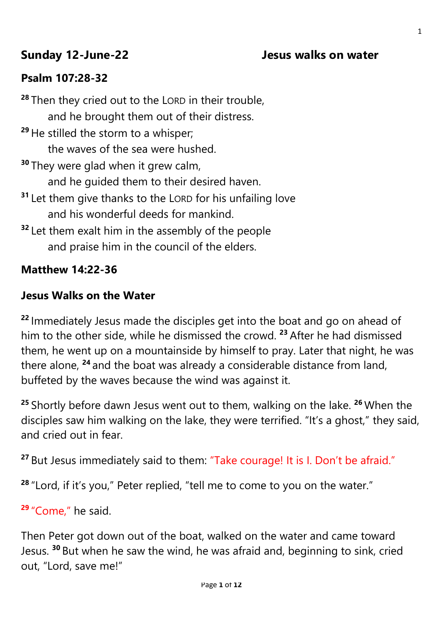## **Sunday 12-June-22 Jesus walks on water**

## **Psalm 107:28-32**

**<sup>28</sup>** Then they cried out to the LORD in their trouble, and he brought them out of their distress. **<sup>29</sup>** He stilled the storm to a whisper; the waves of the sea were hushed. **<sup>30</sup>** They were glad when it grew calm, and he guided them to their desired haven. **<sup>31</sup>** Let them give thanks to the LORD for his unfailing love and his wonderful deeds for mankind. **<sup>32</sup>** Let them exalt him in the assembly of the people and praise him in the council of the elders.

#### **Matthew 14:22-36**

#### **Jesus Walks on the Water**

**<sup>22</sup>** Immediately Jesus made the disciples get into the boat and go on ahead of him to the other side, while he dismissed the crowd. **<sup>23</sup>** After he had dismissed them, he went up on a mountainside by himself to pray. Later that night, he was there alone, **<sup>24</sup>** and the boat was already a considerable distance from land, buffeted by the waves because the wind was against it.

**<sup>25</sup>** Shortly before dawn Jesus went out to them, walking on the lake. **<sup>26</sup>** When the disciples saw him walking on the lake, they were terrified. "It's a ghost," they said, and cried out in fear.

**<sup>27</sup>** But Jesus immediately said to them: "Take courage! It is I. Don't be afraid."

**<sup>28</sup>** "Lord, if it's you," Peter replied, "tell me to come to you on the water."

**<sup>29</sup>** "Come," he said.

Then Peter got down out of the boat, walked on the water and came toward Jesus. **<sup>30</sup>** But when he saw the wind, he was afraid and, beginning to sink, cried out, "Lord, save me!"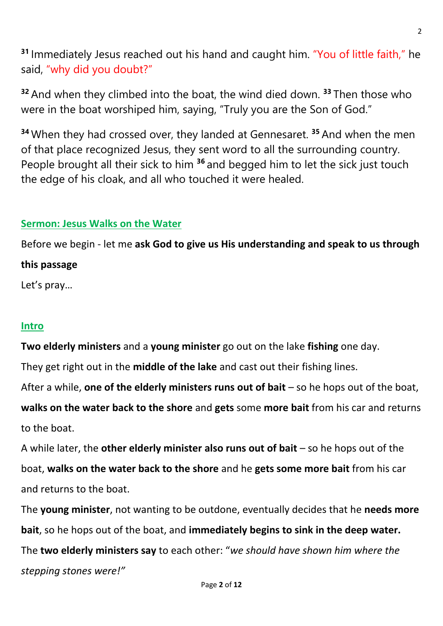**<sup>31</sup>** Immediately Jesus reached out his hand and caught him. "You of little faith," he said, "why did you doubt?"

**<sup>32</sup>** And when they climbed into the boat, the wind died down. **<sup>33</sup>** Then those who were in the boat worshiped him, saying, "Truly you are the Son of God."

**<sup>34</sup>** When they had crossed over, they landed at Gennesaret. **<sup>35</sup>** And when the men of that place recognized Jesus, they sent word to all the surrounding country. People brought all their sick to him **<sup>36</sup>** and begged him to let the sick just touch the edge of his cloak, and all who touched it were healed.

#### **Sermon: Jesus Walks on the Water**

Before we begin - let me **ask God to give us His understanding and speak to us through** 

#### **this passage**

Let's pray…

#### **Intro**

**Two elderly ministers** and a **young minister** go out on the lake **fishing** one day.

They get right out in the **middle of the lake** and cast out their fishing lines.

After a while, **one of the elderly ministers runs out of bait** – so he hops out of the boat,

**walks on the water back to the shore** and **gets** some **more bait** from his car and returns to the boat.

A while later, the **other elderly minister also runs out of bait** – so he hops out of the boat, **walks on the water back to the shore** and he **gets some more bait** from his car and returns to the boat.

The **young minister**, not wanting to be outdone, eventually decides that he **needs more bait**, so he hops out of the boat, and **immediately begins to sink in the deep water.** The **two elderly ministers say** to each other: "*we should have shown him where the stepping stones were!"*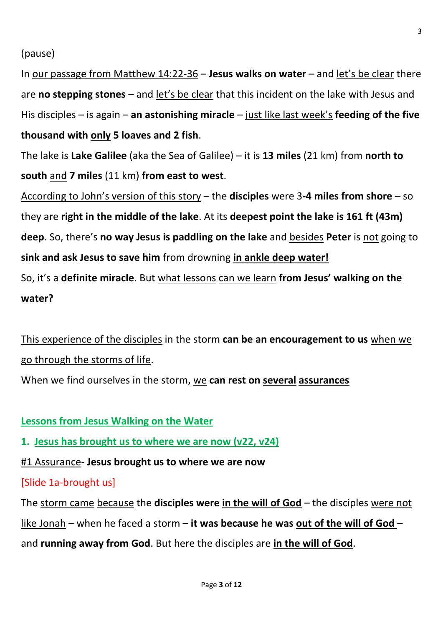In our passage from Matthew 14:22-36 – **Jesus walks on water** – and let's be clear there are **no stepping stones** – and let's be clear that this incident on the lake with Jesus and His disciples – is again – **an astonishing miracle** – just like last week's **feeding of the five thousand with only 5 loaves and 2 fish**.

The lake is **Lake Galilee** (aka the Sea of Galilee) – it is **13 miles** (21 km) from **north to south** and **7 miles** (11 km) **from east to west**.

According to John's version of this story – the **disciples** were 3**-4 miles from shore** – so they are **right in the middle of the lake**. At its **deepest point the lake is 161 ft (43m) deep**. So, there's **no way Jesus is paddling on the lake** and besides **Peter** is not going to **sink and ask Jesus to save him** from drowning **in ankle deep water!** So, it's a **definite miracle**. But what lessons can we learn **from Jesus' walking on the water?**

This experience of the disciples in the storm **can be an encouragement to us** when we go through the storms of life.

When we find ourselves in the storm, we **can rest on several assurances**

## **Lessons from Jesus Walking on the Water**

**1. Jesus has brought us to where we are now (v22, v24)**

#1 Assurance**- Jesus brought us to where we are now**

## [Slide 1a-brought us]

The storm came because the **disciples were in the will of God** – the disciples were not like Jonah – when he faced a storm **– it was because he was out of the will of God** – and **running away from God**. But here the disciples are **in the will of God**.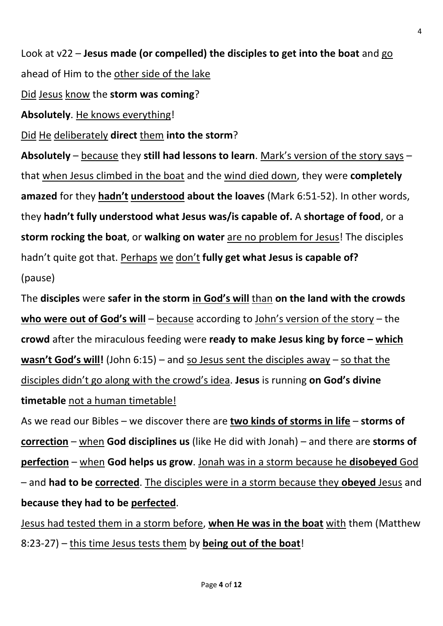Look at v22 – **Jesus made (or compelled) the disciples to get into the boat** and go ahead of Him to the other side of the lake

Did Jesus know the **storm was coming**?

**Absolutely**. He knows everything!

Did He deliberately **direct** them **into the storm**?

**Absolutely** – because they **still had lessons to learn**. Mark's version of the story says – that when Jesus climbed in the boat and the wind died down, they were **completely amazed** for they **hadn't understood about the loaves** (Mark 6:51-52). In other words, they **hadn't fully understood what Jesus was/is capable of.** A **shortage of food**, or a **storm rocking the boat**, or **walking on water** are no problem for Jesus! The disciples hadn't quite got that. Perhaps we don't **fully get what Jesus is capable of?** (pause)

The **disciples** were **safer in the storm in God's will** than **on the land with the crowds who were out of God's will** – because according to John's version of the story – the **crowd** after the miraculous feeding were **ready to make Jesus king by force – which wasn't God's will!** (John 6:15) – and so Jesus sent the disciples away – so that the disciples didn't go along with the crowd's idea. **Jesus** is running **on God's divine timetable** not a human timetable!

As we read our Bibles – we discover there are **two kinds of storms in life** – **storms of correction** – when **God disciplines us** (like He did with Jonah) – and there are **storms of perfection** – when **God helps us grow**. Jonah was in a storm because he **disobeyed** God – and **had to be corrected**. The disciples were in a storm because they **obeyed** Jesus and **because they had to be perfected**.

Jesus had tested them in a storm before, **when He was in the boat** with them (Matthew 8:23-27) – this time Jesus tests them by **being out of the boat**!

4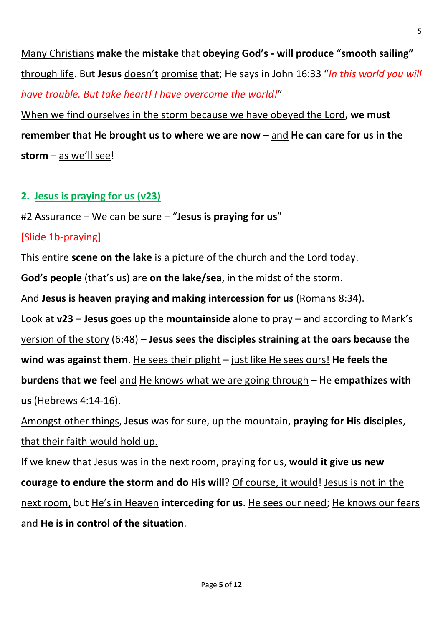Many Christians **make** the **mistake** that **obeying God's - will produce** "**smooth sailing"** through life. But **Jesus** doesn't promise that; He says in John 16:33 "*In this world you will have trouble. But take heart! I have overcome the world!*"

When we find ourselves in the storm because we have obeyed the Lord**, we must remember that He brought us to where we are now** – and **He can care for us in the storm** – as we'll see!

## **2. Jesus is praying for us (v23)**

#2 Assurance – We can be sure – "**Jesus is praying for us**"

## [Slide 1b-praying]

This entire **scene on the lake** is a picture of the church and the Lord today.

**God's people** (that's us) are **on the lake/sea**, in the midst of the storm.

And **Jesus is heaven praying and making intercession for us** (Romans 8:34).

Look at **v23** – **Jesus** goes up the **mountainside** alone to pray – and according to Mark's version of the story (6:48) – **Jesus sees the disciples straining at the oars because the wind was against them**. He sees their plight – just like He sees ours! **He feels the burdens that we feel** and He knows what we are going through – He **empathizes with** 

**us** (Hebrews 4:14-16).

Amongst other things, **Jesus** was for sure, up the mountain, **praying for His disciples**, that their faith would hold up.

If we knew that Jesus was in the next room, praying for us, **would it give us new courage to endure the storm and do His will**? Of course, it would! Jesus is not in the next room, but He's in Heaven **interceding for us**. He sees our need; He knows our fears and **He is in control of the situation**.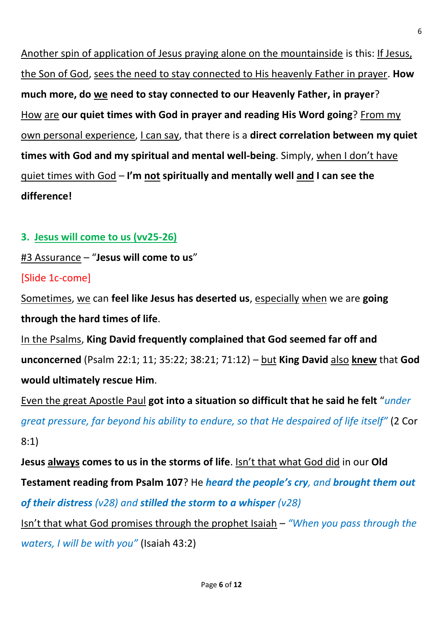Another spin of application of Jesus praying alone on the mountainside is this: If Jesus, the Son of God, sees the need to stay connected to His heavenly Father in prayer. **How much more, do we need to stay connected to our Heavenly Father, in prayer**? How are **our quiet times with God in prayer and reading His Word going**? From my own personal experience, I can say, that there is a **direct correlation between my quiet times with God and my spiritual and mental well-being**. Simply, when I don't have quiet times with God – **I'm not spiritually and mentally well and I can see the difference!**

### **3. Jesus will come to us (vv25-26)**

#3 Assurance – "**Jesus will come to us**"

[Slide 1c-come]

Sometimes, we can **feel like Jesus has deserted us**, especially when we are **going through the hard times of life**.

In the Psalms, **King David frequently complained that God seemed far off and unconcerned** (Psalm 22:1; 11; 35:22; 38:21; 71:12) – but **King David** also **knew** that **God would ultimately rescue Him**.

Even the great Apostle Paul **got into a situation so difficult that he said he felt** "*under great pressure, far beyond his ability to endure, so that He despaired of life itself"* (2 Cor 8:1)

**Jesus always comes to us in the storms of life**. Isn't that what God did in our **Old Testament reading from Psalm 107**? He *heard the people's cry, and brought them out of their distress (v28) and stilled the storm to a whisper (v28)*

Isn't that what God promises through the prophet Isaiah – *"When you pass through the waters, I will be with you"* (Isaiah 43:2)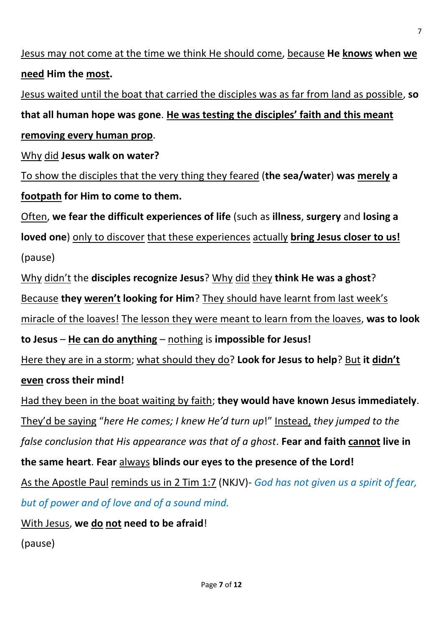Jesus may not come at the time we think He should come, because **He knows when we need Him the most.** Jesus waited until the boat that carried the disciples was as far from land as possible, **so that all human hope was gone**. **He was testing the disciples' faith and this meant removing every human prop**. Why did **Jesus walk on water?** To show the disciples that the very thing they feared (**the sea/water**) **was merely a footpath for Him to come to them.** Often, **we fear the difficult experiences of life** (such as **illness**, **surgery** and **losing a loved one**) only to discover that these experiences actually **bring Jesus closer to us!** (pause) Why didn't the **disciples recognize Jesus**? Why did they **think He was a ghost**? Because **they weren't looking for Him**? They should have learnt from last week's miracle of the loaves! The lesson they were meant to learn from the loaves, **was to look to Jesus** – **He can do anything** – nothing is **impossible for Jesus!** Here they are in a storm; what should they do? **Look for Jesus to help**? But **it didn't even cross their mind!** Had they been in the boat waiting by faith; **they would have known Jesus immediately**. They'd be saying "*here He comes; I knew He'd turn up*!" Instead, *they jumped to the false conclusion that His appearance was that of a ghost*. **Fear and faith cannot live in the same heart**. **Fear** always **blinds our eyes to the presence of the Lord!** As the Apostle Paul reminds us in 2 Tim 1:7 (NKJV)- *God has not given us a spirit of fear, but of power and of love and of a sound mind.* With Jesus, **we do not need to be afraid**! (pause)

7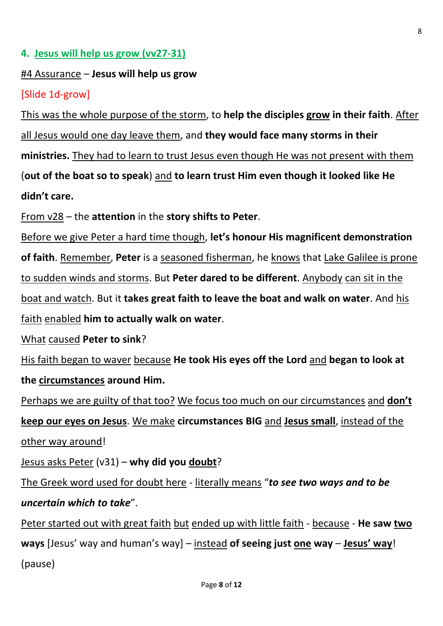#### **4. Jesus will help us grow (vv27-31)**

#### #4 Assurance – **Jesus will help us grow**

#### [Slide 1d-grow]

This was the whole purpose of the storm, to **help the disciples grow in their faith**. After all Jesus would one day leave them, and **they would face many storms in their ministries.** They had to learn to trust Jesus even though He was not present with them (**out of the boat so to speak**) and **to learn trust Him even though it looked like He didn't care.**

From v28 – the **attention** in the **story shifts to Peter**.

Before we give Peter a hard time though, **let's honour His magnificent demonstration of faith**. Remember, **Peter** is a seasoned fisherman, he knows that Lake Galilee is prone to sudden winds and storms. But **Peter dared to be different**. Anybody can sit in the boat and watch. But it **takes great faith to leave the boat and walk on water**. And his faith enabled **him to actually walk on water**.

What caused **Peter to sink**?

His faith began to waver because **He took His eyes off the Lord** and **began to look at the circumstances around Him.**

Perhaps we are guilty of that too? We focus too much on our circumstances and **don't keep our eyes on Jesus**. We make **circumstances BIG** and **Jesus small**, instead of the other way around!

Jesus asks Peter (v31) – **why did you doubt**?

The Greek word used for doubt here - literally means "*to see two ways and to be uncertain which to take*".

Peter started out with great faith but ended up with little faith - because - **He saw two ways** [Jesus' way and human's way] – instead **of seeing just one way** – **Jesus' way**! (pause)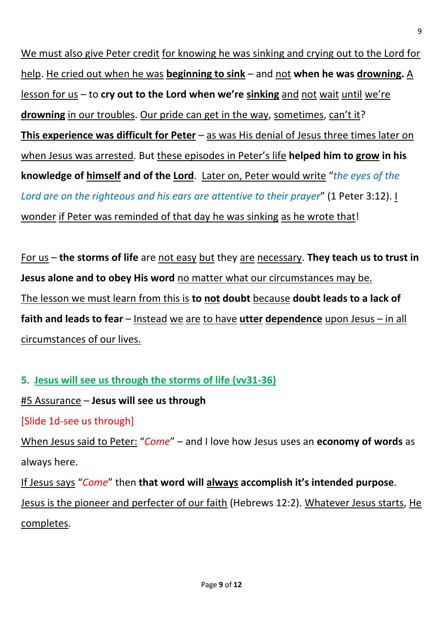We must also give Peter credit for knowing he was sinking and crying out to the Lord for help. He cried out when he was **beginning to sink** – and not **when he was drowning.** A lesson for us – to **cry out to the Lord when we're sinking** and not wait until we're **drowning** in our troubles. Our pride can get in the way, sometimes, can't it? **This experience was difficult for Peter** – as was His denial of Jesus three times later on when Jesus was arrested. But these episodes in Peter's life **helped him to grow in his knowledge of himself and of the Lord**. Later on, Peter would write "*the eyes of the Lord are on the righteous and his ears are attentive to their prayer*" (1 Peter 3:12). I wonder if Peter was reminded of that day he was sinking as he wrote that!

For us – **the storms of life** are not easy but they are necessary. **They teach us to trust in Jesus alone and to obey His word** no matter what our circumstances may be. The lesson we must learn from this is **to not doubt** because **doubt leads to a lack of faith and leads to fear** – Instead we are to have **utter dependence** upon Jesus – in all circumstances of our lives.

**5. Jesus will see us through the storms of life (vv31-36)**

#5 Assurance – **Jesus will see us through**

[Slide 1d-see us through]

When Jesus said to Peter: "*Come*" – and I love how Jesus uses an **economy of words** as always here.

If Jesus says "*Come*" then **that word will always accomplish it's intended purpose**.

Jesus is the pioneer and perfecter of our faith (Hebrews 12:2). Whatever Jesus starts, He completes.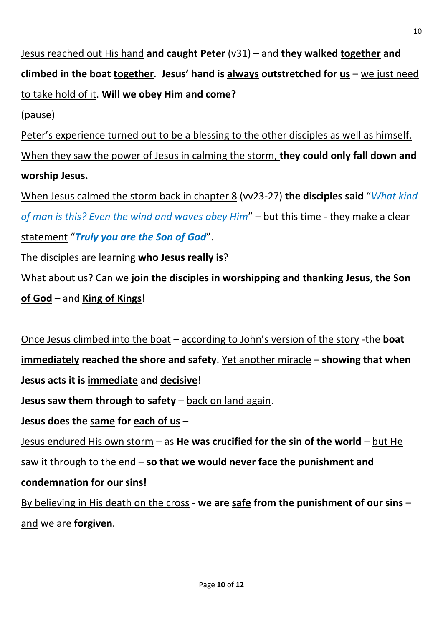Jesus reached out His hand **and caught Peter** (v31) – and **they walked together and climbed in the boat together**. **Jesus' hand is always outstretched for us** – we just need to take hold of it. **Will we obey Him and come?**

(pause)

Peter's experience turned out to be a blessing to the other disciples as well as himself. When they saw the power of Jesus in calming the storm, **they could only fall down and worship Jesus.** 

When Jesus calmed the storm back in chapter 8 (vv23-27) **the disciples said** "*What kind of man is this? Even the wind and waves obey Him*" – but this time - they make a clear statement "*Truly you are the Son of God*".

The disciples are learning **who Jesus really is**?

What about us? Can we **join the disciples in worshipping and thanking Jesus**, **the Son of God** – and **King of Kings**!

Once Jesus climbed into the boat – according to John's version of the story -the **boat immediately reached the shore and safety**. Yet another miracle – **showing that when Jesus acts it is immediate and decisive**! **Jesus saw them through to safety** – back on land again. **Jesus does the same for each of us** – Jesus endured His own storm – as **He was crucified for the sin of the world** – but He saw it through to the end – **so that we would never face the punishment and condemnation for our sins!**

By believing in His death on the cross - **we are safe from the punishment of our sins** – and we are **forgiven**.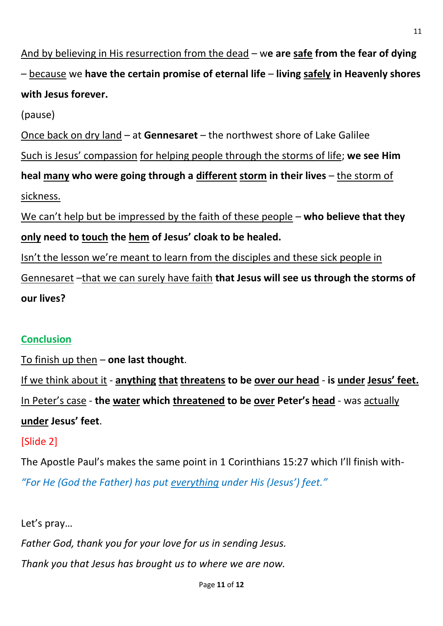And by believing in His resurrection from the dead – w**e are safe from the fear of dying**  – because we **have the certain promise of eternal life** – **living safely in Heavenly shores with Jesus forever.**

(pause)

Once back on dry land – at **Gennesaret** – the northwest shore of Lake Galilee Such is Jesus' compassion for helping people through the storms of life; **we see Him heal many who were going through a different storm in their lives** – the storm of sickness.

We can't help but be impressed by the faith of these people – **who believe that they only need to touch the hem of Jesus' cloak to be healed.**

Isn't the lesson we're meant to learn from the disciples and these sick people in Gennesaret –that we can surely have faith **that Jesus will see us through the storms of our lives?**

# **Conclusion**

To finish up then – **one last thought**.

If we think about it - **anything that threatens to be over our head** - **is under Jesus' feet.** In Peter's case - **the water which threatened to be over Peter's head** - was actually **under Jesus' feet**.

# [Slide 2]

The Apostle Paul's makes the same point in 1 Corinthians 15:27 which I'll finish with- *"For He (God the Father) has put everything under His (Jesus') feet."*

Let's pray…

*Father God, thank you for your love for us in sending Jesus.*

*Thank you that Jesus has brought us to where we are now.*